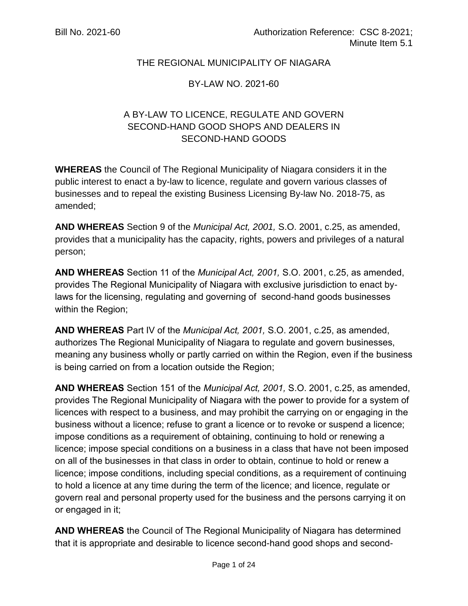## THE REGIONAL MUNICIPALITY OF NIAGARA

#### BY-LAW NO. 2021-60

# A BY-LAW TO LICENCE, REGULATE AND GOVERN SECOND-HAND GOOD SHOPS AND DEALERS IN SECOND-HAND GOODS

**WHEREAS** the Council of The Regional Municipality of Niagara considers it in the public interest to enact a by-law to licence, regulate and govern various classes of businesses and to repeal the existing Business Licensing By-law No. 2018-75, as amended;

**AND WHEREAS** Section 9 of the *Municipal Act, 2001,* S.O. 2001, c.25, as amended, provides that a municipality has the capacity, rights, powers and privileges of a natural person;

**AND WHEREAS** Section 11 of the *Municipal Act, 2001,* S.O. 2001, c.25, as amended, provides The Regional Municipality of Niagara with exclusive jurisdiction to enact bylaws for the licensing, regulating and governing of second-hand goods businesses within the Region;

**AND WHEREAS** Part IV of the *Municipal Act, 2001,* S.O. 2001, c.25, as amended, authorizes The Regional Municipality of Niagara to regulate and govern businesses, meaning any business wholly or partly carried on within the Region, even if the business is being carried on from a location outside the Region;

**AND WHEREAS** Section 151 of the *Municipal Act, 2001,* S.O. 2001, c.25, as amended, provides The Regional Municipality of Niagara with the power to provide for a system of licences with respect to a business, and may prohibit the carrying on or engaging in the business without a licence; refuse to grant a licence or to revoke or suspend a licence; impose conditions as a requirement of obtaining, continuing to hold or renewing a licence; impose special conditions on a business in a class that have not been imposed on all of the businesses in that class in order to obtain, continue to hold or renew a licence; impose conditions, including special conditions, as a requirement of continuing to hold a licence at any time during the term of the licence; and licence, regulate or govern real and personal property used for the business and the persons carrying it on or engaged in it;

**AND WHEREAS** the Council of The Regional Municipality of Niagara has determined that it is appropriate and desirable to licence second-hand good shops and second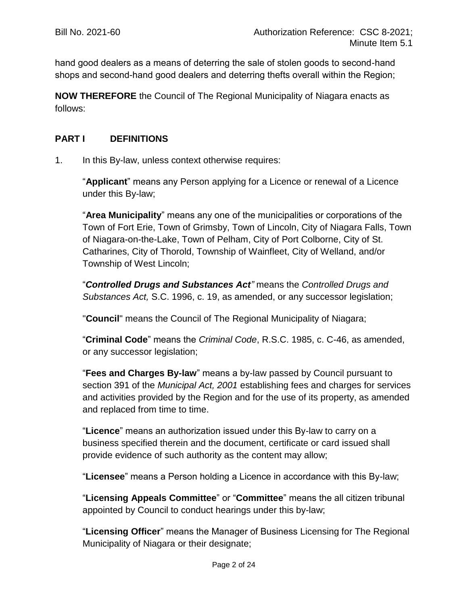hand good dealers as a means of deterring the sale of stolen goods to second-hand shops and second-hand good dealers and deterring thefts overall within the Region;

**NOW THEREFORE** the Council of The Regional Municipality of Niagara enacts as follows:

## **PART I DEFINITIONS**

1. In this By-law, unless context otherwise requires:

"**Applicant**" means any Person applying for a Licence or renewal of a Licence under this By-law;

"**Area Municipality**" means any one of the municipalities or corporations of the Town of Fort Erie, Town of Grimsby, Town of Lincoln, City of Niagara Falls, Town of Niagara-on-the-Lake, Town of Pelham, City of Port Colborne, City of St. Catharines, City of Thorold, Township of Wainfleet, City of Welland, and/or Township of West Lincoln;

"*Controlled Drugs and Substances Act"* means the *Controlled Drugs and Substances Act,* S.C. 1996, c. 19, as amended, or any successor legislation;

"**Council**" means the Council of The Regional Municipality of Niagara;

"**Criminal Code**" means the *Criminal Code*, R.S.C. 1985, c. C-46, as amended, or any successor legislation;

"**Fees and Charges By-law**" means a by-law passed by Council pursuant to section 391 of the *Municipal Act, 2001* establishing fees and charges for services and activities provided by the Region and for the use of its property, as amended and replaced from time to time.

"**Licence**" means an authorization issued under this By-law to carry on a business specified therein and the document, certificate or card issued shall provide evidence of such authority as the content may allow;

"**Licensee**" means a Person holding a Licence in accordance with this By-law;

"**Licensing Appeals Committee**" or "**Committee**" means the all citizen tribunal appointed by Council to conduct hearings under this by-law;

"**Licensing Officer**" means the Manager of Business Licensing for The Regional Municipality of Niagara or their designate;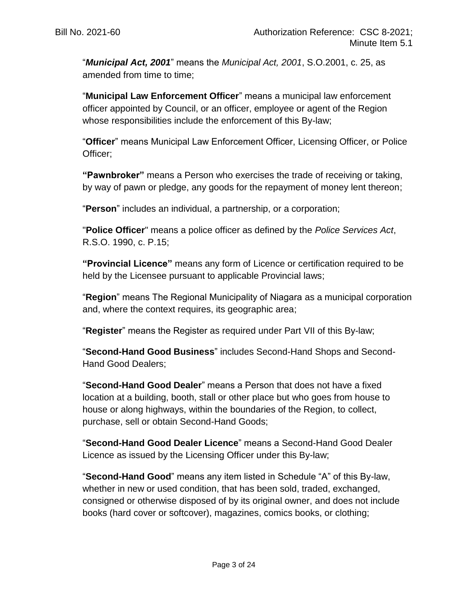"*Municipal Act, 2001*" means the *Municipal Act, 2001*, S.O.2001, c. 25, as amended from time to time;

"**Municipal Law Enforcement Officer**" means a municipal law enforcement officer appointed by Council, or an officer, employee or agent of the Region whose responsibilities include the enforcement of this By-law;

"**Officer**" means Municipal Law Enforcement Officer, Licensing Officer, or Police Officer;

**"Pawnbroker"** means a Person who exercises the trade of receiving or taking, by way of pawn or pledge, any goods for the repayment of money lent thereon;

"**Person**" includes an individual, a partnership, or a corporation;

"**Police Officer**" means a police officer as defined by the *Police Services Act*, R.S.O. 1990, c. P.15;

**"Provincial Licence"** means any form of Licence or certification required to be held by the Licensee pursuant to applicable Provincial laws;

"**Region**" means The Regional Municipality of Niagara as a municipal corporation and, where the context requires, its geographic area;

"**Register**" means the Register as required under Part VII of this By-law;

"**Second-Hand Good Business**" includes Second-Hand Shops and Second-Hand Good Dealers;

"**Second-Hand Good Dealer**" means a Person that does not have a fixed location at a building, booth, stall or other place but who goes from house to house or along highways, within the boundaries of the Region, to collect, purchase, sell or obtain Second-Hand Goods;

"**Second-Hand Good Dealer Licence**" means a Second-Hand Good Dealer Licence as issued by the Licensing Officer under this By-law;

"**Second-Hand Good**" means any item listed in Schedule "A" of this By-law, whether in new or used condition, that has been sold, traded, exchanged, consigned or otherwise disposed of by its original owner, and does not include books (hard cover or softcover), magazines, comics books, or clothing;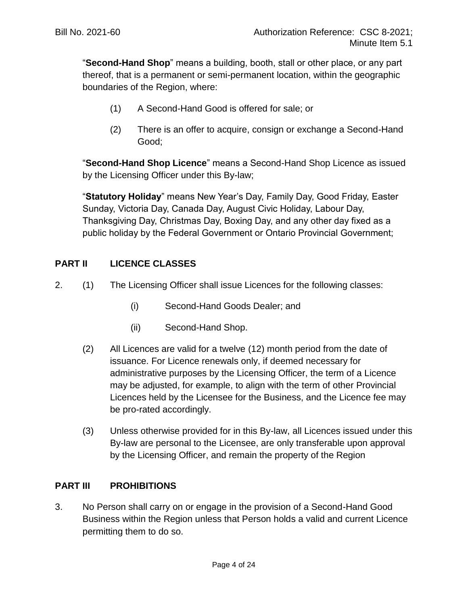"**Second-Hand Shop**" means a building, booth, stall or other place, or any part thereof, that is a permanent or semi-permanent location, within the geographic boundaries of the Region, where:

- (1) A Second-Hand Good is offered for sale; or
- (2) There is an offer to acquire, consign or exchange a Second-Hand Good;

"**Second-Hand Shop Licence**" means a Second-Hand Shop Licence as issued by the Licensing Officer under this By-law;

"**Statutory Holiday**" means New Year's Day, Family Day, Good Friday, Easter Sunday, Victoria Day, Canada Day, August Civic Holiday, Labour Day, Thanksgiving Day, Christmas Day, Boxing Day, and any other day fixed as a public holiday by the Federal Government or Ontario Provincial Government;

## **PART II LICENCE CLASSES**

- <span id="page-3-0"></span>2. (1) The Licensing Officer shall issue Licences for the following classes:
	- (i) Second-Hand Goods Dealer; and
	- (ii) Second-Hand Shop.
	- (2) All Licences are valid for a twelve (12) month period from the date of issuance. For Licence renewals only, if deemed necessary for administrative purposes by the Licensing Officer, the term of a Licence may be adjusted, for example, to align with the term of other Provincial Licences held by the Licensee for the Business, and the Licence fee may be pro-rated accordingly.
	- (3) Unless otherwise provided for in this By-law, all Licences issued under this By-law are personal to the Licensee, are only transferable upon approval by the Licensing Officer, and remain the property of the Region

#### **PART III PROHIBITIONS**

3. No Person shall carry on or engage in the provision of a Second-Hand Good Business within the Region unless that Person holds a valid and current Licence permitting them to do so.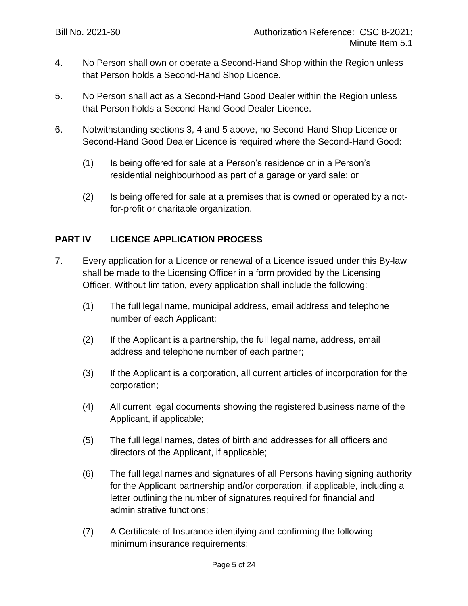- 4. No Person shall own or operate a Second-Hand Shop within the Region unless that Person holds a Second-Hand Shop Licence.
- 5. No Person shall act as a Second-Hand Good Dealer within the Region unless that Person holds a Second-Hand Good Dealer Licence.
- 6. Notwithstanding sections 3, 4 and 5 above, no Second-Hand Shop Licence or Second-Hand Good Dealer Licence is required where the Second-Hand Good:
	- (1) Is being offered for sale at a Person's residence or in a Person's residential neighbourhood as part of a garage or yard sale; or
	- (2) Is being offered for sale at a premises that is owned or operated by a notfor-profit or charitable organization.

## **PART IV LICENCE APPLICATION PROCESS**

- 7. Every application for a Licence or renewal of a Licence issued under this By-law shall be made to the Licensing Officer in a form provided by the Licensing Officer. Without limitation, every application shall include the following:
	- (1) The full legal name, municipal address, email address and telephone number of each Applicant;
	- (2) If the Applicant is a partnership, the full legal name, address, email address and telephone number of each partner;
	- (3) If the Applicant is a corporation, all current articles of incorporation for the corporation;
	- (4) All current legal documents showing the registered business name of the Applicant, if applicable;
	- (5) The full legal names, dates of birth and addresses for all officers and directors of the Applicant, if applicable;
	- (6) The full legal names and signatures of all Persons having signing authority for the Applicant partnership and/or corporation, if applicable, including a letter outlining the number of signatures required for financial and administrative functions;
	- (7) A Certificate of Insurance identifying and confirming the following minimum insurance requirements: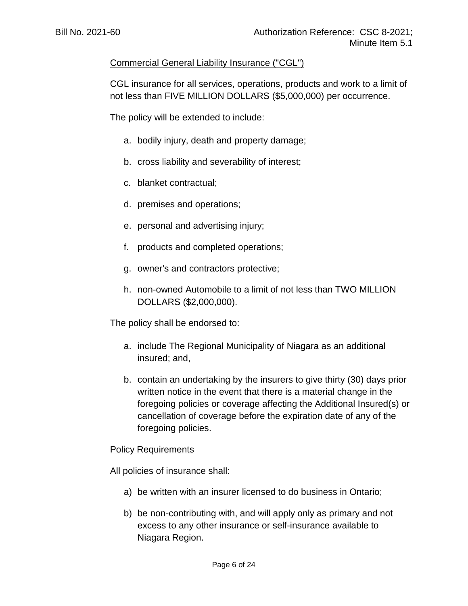## Commercial General Liability Insurance ("CGL")

CGL insurance for all services, operations, products and work to a limit of not less than FIVE MILLION DOLLARS (\$5,000,000) per occurrence.

The policy will be extended to include:

- a. bodily injury, death and property damage;
- b. cross liability and severability of interest;
- c. blanket contractual;
- d. premises and operations;
- e. personal and advertising injury;
- f. products and completed operations;
- g. owner's and contractors protective;
- h. non-owned Automobile to a limit of not less than TWO MILLION DOLLARS (\$2,000,000).

The policy shall be endorsed to:

- a. include The Regional Municipality of Niagara as an additional insured; and,
- b. contain an undertaking by the insurers to give thirty (30) days prior written notice in the event that there is a material change in the foregoing policies or coverage affecting the Additional Insured(s) or cancellation of coverage before the expiration date of any of the foregoing policies.

#### **Policy Requirements**

All policies of insurance shall:

- a) be written with an insurer licensed to do business in Ontario;
- b) be non-contributing with, and will apply only as primary and not excess to any other insurance or self-insurance available to Niagara Region.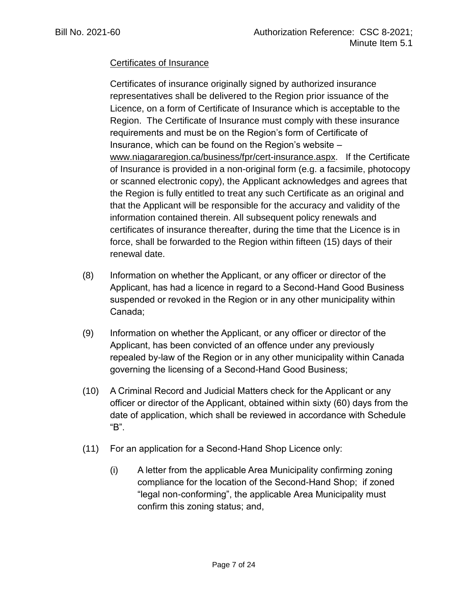## Certificates of Insurance

Certificates of insurance originally signed by authorized insurance representatives shall be delivered to the Region prior issuance of the Licence, on a form of Certificate of Insurance which is acceptable to the Region. The Certificate of Insurance must comply with these insurance requirements and must be on the Region's form of Certificate of Insurance, which can be found on the Region's website – [www.niagararegion.ca/business/fpr/cert-insurance.aspx.](http://www.niagararegion.ca/business/fpr/cert-insurance.aspx) If the Certificate of Insurance is provided in a non-original form (e.g. a facsimile, photocopy or scanned electronic copy), the Applicant acknowledges and agrees that the Region is fully entitled to treat any such Certificate as an original and that the Applicant will be responsible for the accuracy and validity of the information contained therein. All subsequent policy renewals and certificates of insurance thereafter, during the time that the Licence is in force, shall be forwarded to the Region within fifteen (15) days of their renewal date.

- (8) Information on whether the Applicant, or any officer or director of the Applicant, has had a licence in regard to a Second-Hand Good Business suspended or revoked in the Region or in any other municipality within Canada;
- (9) Information on whether the Applicant, or any officer or director of the Applicant, has been convicted of an offence under any previously repealed by-law of the Region or in any other municipality within Canada governing the licensing of a Second-Hand Good Business;
- (10) A Criminal Record and Judicial Matters check for the Applicant or any officer or director of the Applicant, obtained within sixty (60) days from the date of application, which shall be reviewed in accordance with Schedule "B".
- (11) For an application for a Second-Hand Shop Licence only:
	- (i) A letter from the applicable Area Municipality confirming zoning compliance for the location of the Second-Hand Shop; if zoned "legal non-conforming", the applicable Area Municipality must confirm this zoning status; and,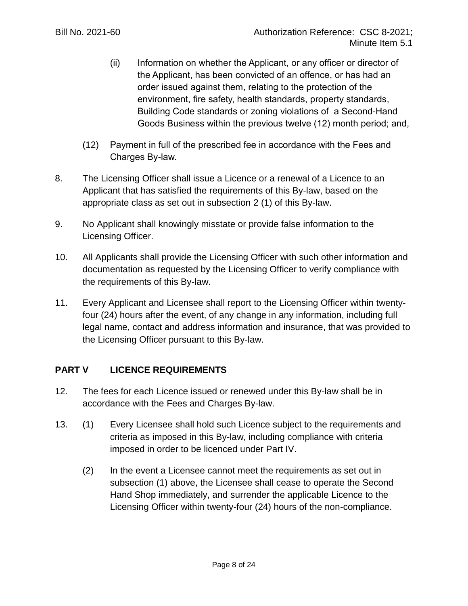- (ii) Information on whether the Applicant, or any officer or director of the Applicant, has been convicted of an offence, or has had an order issued against them, relating to the protection of the environment, fire safety, health standards, property standards, Building Code standards or zoning violations of a Second-Hand Goods Business within the previous twelve (12) month period; and,
- (12) Payment in full of the prescribed fee in accordance with the Fees and Charges By-law.
- 8. The Licensing Officer shall issue a Licence or a renewal of a Licence to an Applicant that has satisfied the requirements of this By-law, based on the appropriate class as set out in subsection [2](#page-3-0) (1) of this By-law.
- 9. No Applicant shall knowingly misstate or provide false information to the Licensing Officer.
- 10. All Applicants shall provide the Licensing Officer with such other information and documentation as requested by the Licensing Officer to verify compliance with the requirements of this By-law.
- 11. Every Applicant and Licensee shall report to the Licensing Officer within twentyfour (24) hours after the event, of any change in any information, including full legal name, contact and address information and insurance, that was provided to the Licensing Officer pursuant to this By-law.

# **PART V LICENCE REQUIREMENTS**

- 12. The fees for each Licence issued or renewed under this By-law shall be in accordance with the Fees and Charges By-law.
- 13. (1) Every Licensee shall hold such Licence subject to the requirements and criteria as imposed in this By-law, including compliance with criteria imposed in order to be licenced under Part IV.
	- (2) In the event a Licensee cannot meet the requirements as set out in subsection (1) above, the Licensee shall cease to operate the Second Hand Shop immediately, and surrender the applicable Licence to the Licensing Officer within twenty-four (24) hours of the non-compliance.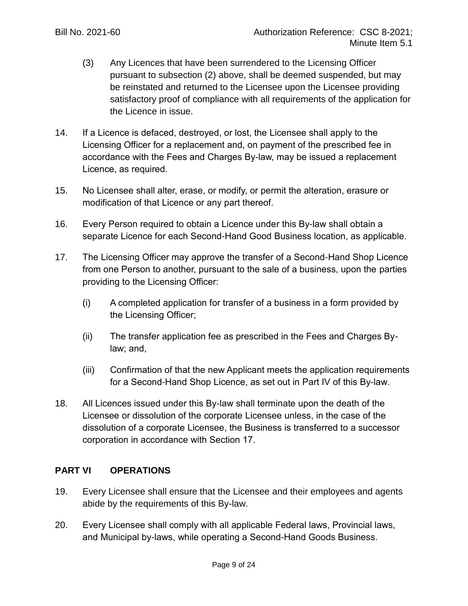- (3) Any Licences that have been surrendered to the Licensing Officer pursuant to subsection (2) above, shall be deemed suspended, but may be reinstated and returned to the Licensee upon the Licensee providing satisfactory proof of compliance with all requirements of the application for the Licence in issue.
- 14. If a Licence is defaced, destroyed, or lost, the Licensee shall apply to the Licensing Officer for a replacement and, on payment of the prescribed fee in accordance with the Fees and Charges By-law, may be issued a replacement Licence, as required.
- 15. No Licensee shall alter, erase, or modify, or permit the alteration, erasure or modification of that Licence or any part thereof.
- 16. Every Person required to obtain a Licence under this By-law shall obtain a separate Licence for each Second-Hand Good Business location, as applicable.
- 17. The Licensing Officer may approve the transfer of a Second-Hand Shop Licence from one Person to another, pursuant to the sale of a business, upon the parties providing to the Licensing Officer:
	- (i) A completed application for transfer of a business in a form provided by the Licensing Officer;
	- (ii) The transfer application fee as prescribed in the Fees and Charges Bylaw; and,
	- (iii) Confirmation of that the new Applicant meets the application requirements for a Second-Hand Shop Licence, as set out in Part IV of this By-law.
- 18. All Licences issued under this By-law shall terminate upon the death of the Licensee or dissolution of the corporate Licensee unless, in the case of the dissolution of a corporate Licensee, the Business is transferred to a successor corporation in accordance with Section 17.

# **PART VI OPERATIONS**

- 19. Every Licensee shall ensure that the Licensee and their employees and agents abide by the requirements of this By-law.
- 20. Every Licensee shall comply with all applicable Federal laws, Provincial laws, and Municipal by-laws, while operating a Second-Hand Goods Business.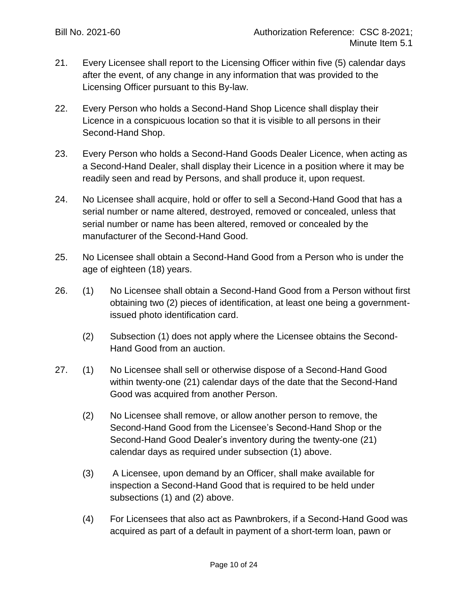- 21. Every Licensee shall report to the Licensing Officer within five (5) calendar days after the event, of any change in any information that was provided to the Licensing Officer pursuant to this By-law.
- 22. Every Person who holds a Second-Hand Shop Licence shall display their Licence in a conspicuous location so that it is visible to all persons in their Second-Hand Shop.
- 23. Every Person who holds a Second-Hand Goods Dealer Licence, when acting as a Second-Hand Dealer, shall display their Licence in a position where it may be readily seen and read by Persons, and shall produce it, upon request.
- 24. No Licensee shall acquire, hold or offer to sell a Second-Hand Good that has a serial number or name altered, destroyed, removed or concealed, unless that serial number or name has been altered, removed or concealed by the manufacturer of the Second-Hand Good.
- 25. No Licensee shall obtain a Second-Hand Good from a Person who is under the age of eighteen (18) years.
- 26. (1) No Licensee shall obtain a Second-Hand Good from a Person without first obtaining two (2) pieces of identification, at least one being a governmentissued photo identification card.
	- (2) Subsection (1) does not apply where the Licensee obtains the Second-Hand Good from an auction.
- 27. (1) No Licensee shall sell or otherwise dispose of a Second-Hand Good within twenty-one (21) calendar days of the date that the Second-Hand Good was acquired from another Person.
	- (2) No Licensee shall remove, or allow another person to remove, the Second-Hand Good from the Licensee's Second-Hand Shop or the Second-Hand Good Dealer's inventory during the twenty-one (21) calendar days as required under subsection (1) above.
	- (3) A Licensee, upon demand by an Officer, shall make available for inspection a Second-Hand Good that is required to be held under subsections (1) and (2) above.
	- (4) For Licensees that also act as Pawnbrokers, if a Second-Hand Good was acquired as part of a default in payment of a short-term loan, pawn or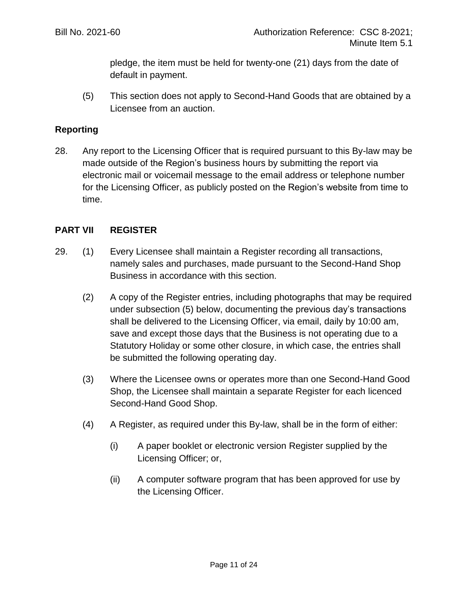pledge, the item must be held for twenty-one (21) days from the date of default in payment.

(5) This section does not apply to Second-Hand Goods that are obtained by a Licensee from an auction.

## **Reporting**

28. Any report to the Licensing Officer that is required pursuant to this By-law may be made outside of the Region's business hours by submitting the report via electronic mail or voicemail message to the email address or telephone number for the Licensing Officer, as publicly posted on the Region's website from time to time.

#### **PART VII REGISTER**

- 29. (1) Every Licensee shall maintain a Register recording all transactions, namely sales and purchases, made pursuant to the Second-Hand Shop Business in accordance with this section.
	- (2) A copy of the Register entries, including photographs that may be required under subsection (5) below, documenting the previous day's transactions shall be delivered to the Licensing Officer, via email, daily by 10:00 am, save and except those days that the Business is not operating due to a Statutory Holiday or some other closure, in which case, the entries shall be submitted the following operating day.
	- (3) Where the Licensee owns or operates more than one Second-Hand Good Shop, the Licensee shall maintain a separate Register for each licenced Second-Hand Good Shop.
	- (4) A Register, as required under this By-law, shall be in the form of either:
		- (i) A paper booklet or electronic version Register supplied by the Licensing Officer; or,
		- (ii) A computer software program that has been approved for use by the Licensing Officer.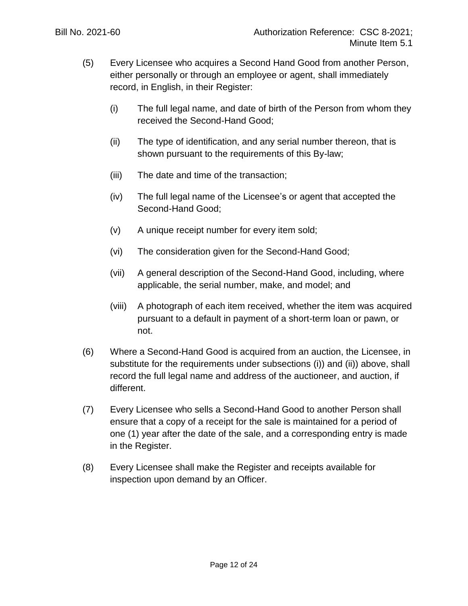- <span id="page-11-1"></span><span id="page-11-0"></span>(5) Every Licensee who acquires a Second Hand Good from another Person, either personally or through an employee or agent, shall immediately record, in English, in their Register:
	- (i) The full legal name, and date of birth of the Person from whom they received the Second-Hand Good;
	- (ii) The type of identification, and any serial number thereon, that is shown pursuant to the requirements of this By-law;
	- (iii) The date and time of the transaction;
	- (iv) The full legal name of the Licensee's or agent that accepted the Second-Hand Good;
	- (v) A unique receipt number for every item sold;
	- (vi) The consideration given for the Second-Hand Good;
	- (vii) A general description of the Second-Hand Good, including, where applicable, the serial number, make, and model; and
	- (viii) A photograph of each item received, whether the item was acquired pursuant to a default in payment of a short-term loan or pawn, or not.
- (6) Where a Second-Hand Good is acquired from an auction, the Licensee, in substitute for the requirements under subsections [\(i\)\)](#page-11-0) and [\(ii\)\)](#page-11-1) above, shall record the full legal name and address of the auctioneer, and auction, if different.
- (7) Every Licensee who sells a Second-Hand Good to another Person shall ensure that a copy of a receipt for the sale is maintained for a period of one (1) year after the date of the sale, and a corresponding entry is made in the Register.
- (8) Every Licensee shall make the Register and receipts available for inspection upon demand by an Officer.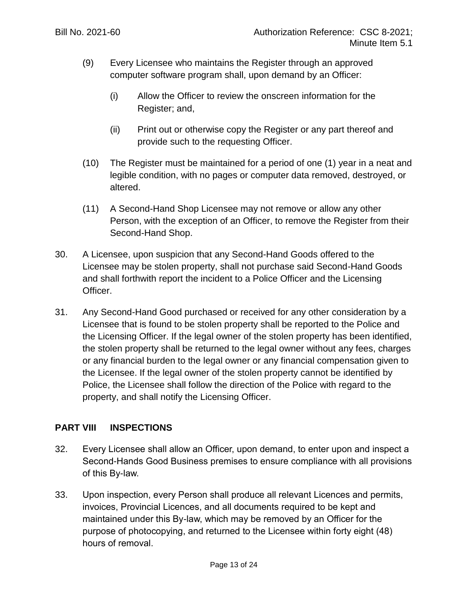- (9) Every Licensee who maintains the Register through an approved computer software program shall, upon demand by an Officer:
	- (i) Allow the Officer to review the onscreen information for the Register; and,
	- (ii) Print out or otherwise copy the Register or any part thereof and provide such to the requesting Officer.
- (10) The Register must be maintained for a period of one (1) year in a neat and legible condition, with no pages or computer data removed, destroyed, or altered.
- (11) A Second-Hand Shop Licensee may not remove or allow any other Person, with the exception of an Officer, to remove the Register from their Second-Hand Shop.
- 30. A Licensee, upon suspicion that any Second-Hand Goods offered to the Licensee may be stolen property, shall not purchase said Second-Hand Goods and shall forthwith report the incident to a Police Officer and the Licensing Officer.
- 31. Any Second-Hand Good purchased or received for any other consideration by a Licensee that is found to be stolen property shall be reported to the Police and the Licensing Officer. If the legal owner of the stolen property has been identified, the stolen property shall be returned to the legal owner without any fees, charges or any financial burden to the legal owner or any financial compensation given to the Licensee. If the legal owner of the stolen property cannot be identified by Police, the Licensee shall follow the direction of the Police with regard to the property, and shall notify the Licensing Officer.

# **PART VIII INSPECTIONS**

- 32. Every Licensee shall allow an Officer, upon demand, to enter upon and inspect a Second-Hands Good Business premises to ensure compliance with all provisions of this By-law.
- 33. Upon inspection, every Person shall produce all relevant Licences and permits, invoices, Provincial Licences, and all documents required to be kept and maintained under this By-law, which may be removed by an Officer for the purpose of photocopying, and returned to the Licensee within forty eight (48) hours of removal.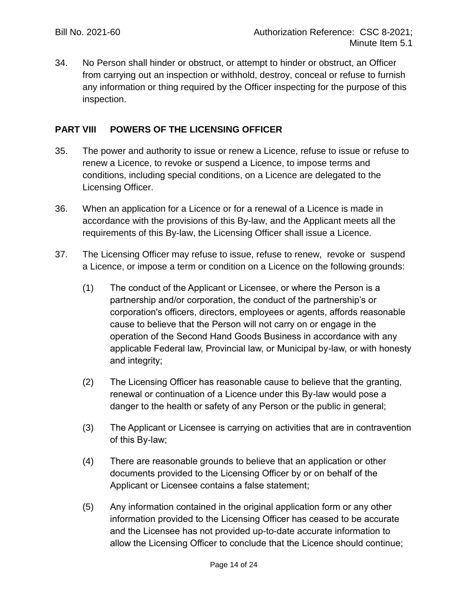34. No Person shall hinder or obstruct, or attempt to hinder or obstruct, an Officer from carrying out an inspection or withhold, destroy, conceal or refuse to furnish any information or thing required by the Officer inspecting for the purpose of this inspection.

## **PART VIII POWERS OF THE LICENSING OFFICER**

- 35. The power and authority to issue or renew a Licence, refuse to issue or refuse to renew a Licence, to revoke or suspend a Licence, to impose terms and conditions, including special conditions, on a Licence are delegated to the Licensing Officer.
- 36. When an application for a Licence or for a renewal of a Licence is made in accordance with the provisions of this By-law, and the Applicant meets all the requirements of this By-law, the Licensing Officer shall issue a Licence.
- 37. The Licensing Officer may refuse to issue, refuse to renew, revoke or suspend a Licence, or impose a term or condition on a Licence on the following grounds:
	- (1) The conduct of the Applicant or Licensee, or where the Person is a partnership and/or corporation, the conduct of the partnership's or corporation's officers, directors, employees or agents, affords reasonable cause to believe that the Person will not carry on or engage in the operation of the Second Hand Goods Business in accordance with any applicable Federal law, Provincial law, or Municipal by-law, or with honesty and integrity;
	- (2) The Licensing Officer has reasonable cause to believe that the granting, renewal or continuation of a Licence under this By-law would pose a danger to the health or safety of any Person or the public in general;
	- (3) The Applicant or Licensee is carrying on activities that are in contravention of this By-law;
	- (4) There are reasonable grounds to believe that an application or other documents provided to the Licensing Officer by or on behalf of the Applicant or Licensee contains a false statement;
	- (5) Any information contained in the original application form or any other information provided to the Licensing Officer has ceased to be accurate and the Licensee has not provided up-to-date accurate information to allow the Licensing Officer to conclude that the Licence should continue;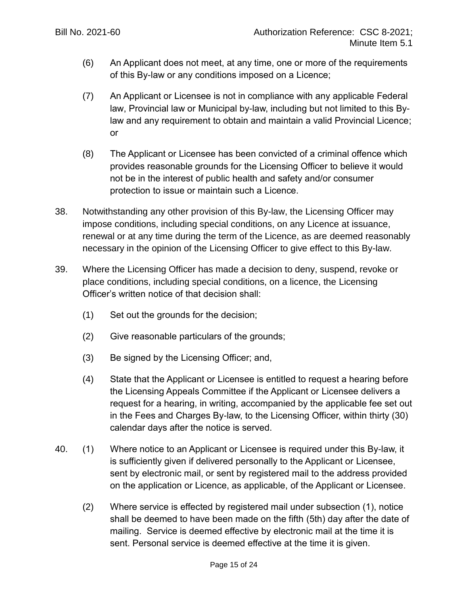- (6) An Applicant does not meet, at any time, one or more of the requirements of this By-law or any conditions imposed on a Licence;
- (7) An Applicant or Licensee is not in compliance with any applicable Federal law, Provincial law or Municipal by-law, including but not limited to this Bylaw and any requirement to obtain and maintain a valid Provincial Licence; or
- (8) The Applicant or Licensee has been convicted of a criminal offence which provides reasonable grounds for the Licensing Officer to believe it would not be in the interest of public health and safety and/or consumer protection to issue or maintain such a Licence.
- 38. Notwithstanding any other provision of this By-law, the Licensing Officer may impose conditions, including special conditions, on any Licence at issuance, renewal or at any time during the term of the Licence, as are deemed reasonably necessary in the opinion of the Licensing Officer to give effect to this By-law.
- <span id="page-14-0"></span>39. Where the Licensing Officer has made a decision to deny, suspend, revoke or place conditions, including special conditions, on a licence, the Licensing Officer's written notice of that decision shall:
	- (1) Set out the grounds for the decision;
	- (2) Give reasonable particulars of the grounds;
	- (3) Be signed by the Licensing Officer; and,
	- (4) State that the Applicant or Licensee is entitled to request a hearing before the Licensing Appeals Committee if the Applicant or Licensee delivers a request for a hearing, in writing, accompanied by the applicable fee set out in the Fees and Charges By-law, to the Licensing Officer, within thirty (30) calendar days after the notice is served.
- 40. (1) Where notice to an Applicant or Licensee is required under this By-law, it is sufficiently given if delivered personally to the Applicant or Licensee, sent by electronic mail, or sent by registered mail to the address provided on the application or Licence, as applicable, of the Applicant or Licensee.
	- (2) Where service is effected by registered mail under subsection (1), notice shall be deemed to have been made on the fifth (5th) day after the date of mailing. Service is deemed effective by electronic mail at the time it is sent. Personal service is deemed effective at the time it is given.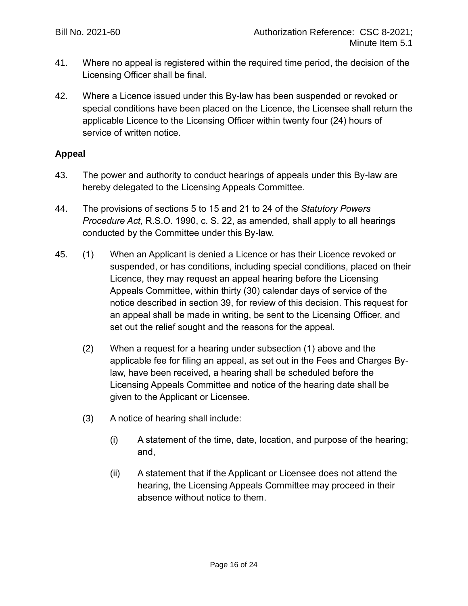- 41. Where no appeal is registered within the required time period, the decision of the Licensing Officer shall be final.
- 42. Where a Licence issued under this By-law has been suspended or revoked or special conditions have been placed on the Licence, the Licensee shall return the applicable Licence to the Licensing Officer within twenty four (24) hours of service of written notice.

## **Appeal**

- 43. The power and authority to conduct hearings of appeals under this By-law are hereby delegated to the Licensing Appeals Committee.
- 44. The provisions of sections 5 to 15 and 21 to 24 of the *Statutory Powers Procedure Act*, R.S.O. 1990, c. S. 22, as amended, shall apply to all hearings conducted by the Committee under this By-law.
- 45. (1) When an Applicant is denied a Licence or has their Licence revoked or suspended, or has conditions, including special conditions, placed on their Licence, they may request an appeal hearing before the Licensing Appeals Committee, within thirty (30) calendar days of service of the notice described in section [39,](#page-14-0) for review of this decision. This request for an appeal shall be made in writing, be sent to the Licensing Officer, and set out the relief sought and the reasons for the appeal.
	- (2) When a request for a hearing under subsection (1) above and the applicable fee for filing an appeal, as set out in the Fees and Charges Bylaw, have been received, a hearing shall be scheduled before the Licensing Appeals Committee and notice of the hearing date shall be given to the Applicant or Licensee.
	- (3) A notice of hearing shall include:
		- (i) A statement of the time, date, location, and purpose of the hearing; and,
		- (ii) A statement that if the Applicant or Licensee does not attend the hearing, the Licensing Appeals Committee may proceed in their absence without notice to them.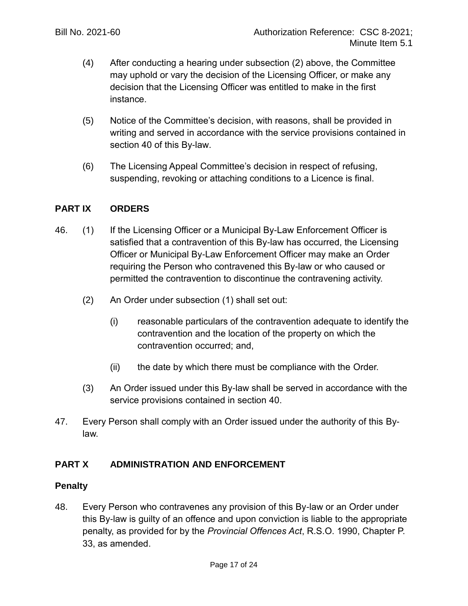- (4) After conducting a hearing under subsection (2) above, the Committee may uphold or vary the decision of the Licensing Officer, or make any decision that the Licensing Officer was entitled to make in the first instance.
- (5) Notice of the Committee's decision, with reasons, shall be provided in writing and served in accordance with the service provisions contained in section 40 of this By-law.
- (6) The Licensing Appeal Committee's decision in respect of refusing, suspending, revoking or attaching conditions to a Licence is final.

## **PART IX ORDERS**

- 46. (1) If the Licensing Officer or a Municipal By-Law Enforcement Officer is satisfied that a contravention of this By-law has occurred, the Licensing Officer or Municipal By-Law Enforcement Officer may make an Order requiring the Person who contravened this By-law or who caused or permitted the contravention to discontinue the contravening activity.
	- (2) An Order under subsection (1) shall set out:
		- (i) reasonable particulars of the contravention adequate to identify the contravention and the location of the property on which the contravention occurred; and,
		- (ii) the date by which there must be compliance with the Order.
	- (3) An Order issued under this By-law shall be served in accordance with the service provisions contained in section 40.
- 47. Every Person shall comply with an Order issued under the authority of this Bylaw.

# **PART X ADMINISTRATION AND ENFORCEMENT**

#### **Penalty**

48. Every Person who contravenes any provision of this By-law or an Order under this By-law is guilty of an offence and upon conviction is liable to the appropriate penalty, as provided for by the *Provincial Offences Act*, R.S.O. 1990, Chapter P. 33, as amended.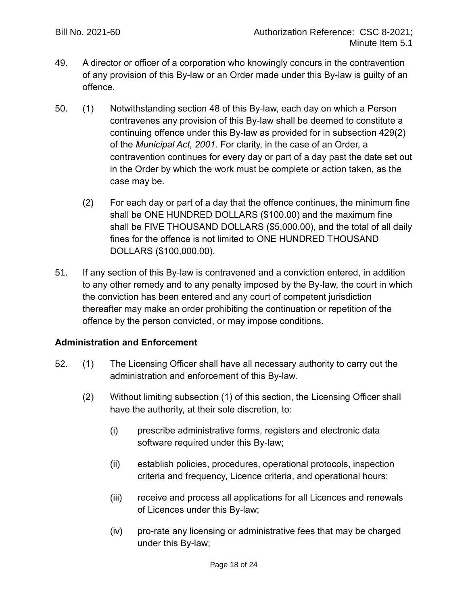- 49. A director or officer of a corporation who knowingly concurs in the contravention of any provision of this By-law or an Order made under this By-law is guilty of an offence.
- 50. (1) Notwithstanding section 48 of this By-law, each day on which a Person contravenes any provision of this By-law shall be deemed to constitute a continuing offence under this By-law as provided for in subsection 429(2) of the *Municipal Act, 2001*. For clarity, in the case of an Order, a contravention continues for every day or part of a day past the date set out in the Order by which the work must be complete or action taken, as the case may be.
	- (2) For each day or part of a day that the offence continues, the minimum fine shall be ONE HUNDRED DOLLARS (\$100.00) and the maximum fine shall be FIVE THOUSAND DOLLARS (\$5,000.00), and the total of all daily fines for the offence is not limited to ONE HUNDRED THOUSAND DOLLARS (\$100,000.00).
- 51. If any section of this By-law is contravened and a conviction entered, in addition to any other remedy and to any penalty imposed by the By-law, the court in which the conviction has been entered and any court of competent jurisdiction thereafter may make an order prohibiting the continuation or repetition of the offence by the person convicted, or may impose conditions.

#### **Administration and Enforcement**

- 52. (1) The Licensing Officer shall have all necessary authority to carry out the administration and enforcement of this By-law.
	- (2) Without limiting subsection (1) of this section, the Licensing Officer shall have the authority, at their sole discretion, to:
		- (i) prescribe administrative forms, registers and electronic data software required under this By-law;
		- (ii) establish policies, procedures, operational protocols, inspection criteria and frequency, Licence criteria, and operational hours;
		- (iii) receive and process all applications for all Licences and renewals of Licences under this By-law;
		- (iv) pro-rate any licensing or administrative fees that may be charged under this By-law;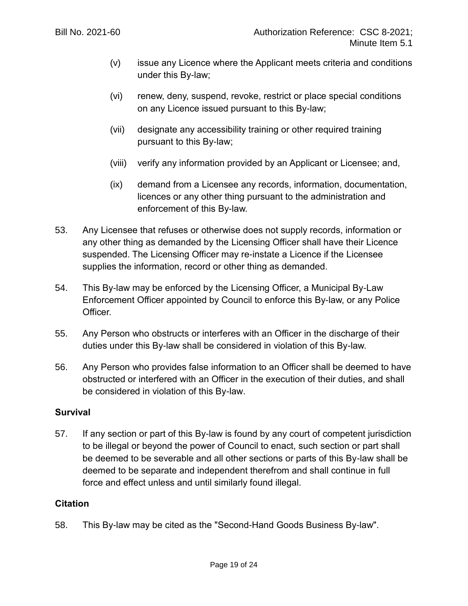- (v) issue any Licence where the Applicant meets criteria and conditions under this By-law;
- (vi) renew, deny, suspend, revoke, restrict or place special conditions on any Licence issued pursuant to this By-law;
- (vii) designate any accessibility training or other required training pursuant to this By-law;
- (viii) verify any information provided by an Applicant or Licensee; and,
- (ix) demand from a Licensee any records, information, documentation, licences or any other thing pursuant to the administration and enforcement of this By-law.
- 53. Any Licensee that refuses or otherwise does not supply records, information or any other thing as demanded by the Licensing Officer shall have their Licence suspended. The Licensing Officer may re-instate a Licence if the Licensee supplies the information, record or other thing as demanded.
- 54. This By-law may be enforced by the Licensing Officer, a Municipal By-Law Enforcement Officer appointed by Council to enforce this By-law, or any Police Officer.
- 55. Any Person who obstructs or interferes with an Officer in the discharge of their duties under this By-law shall be considered in violation of this By-law.
- 56. Any Person who provides false information to an Officer shall be deemed to have obstructed or interfered with an Officer in the execution of their duties, and shall be considered in violation of this By-law.

#### **Survival**

57. If any section or part of this By-law is found by any court of competent jurisdiction to be illegal or beyond the power of Council to enact, such section or part shall be deemed to be severable and all other sections or parts of this By-law shall be deemed to be separate and independent therefrom and shall continue in full force and effect unless and until similarly found illegal.

#### **Citation**

58. This By-law may be cited as the "Second-Hand Goods Business By-law".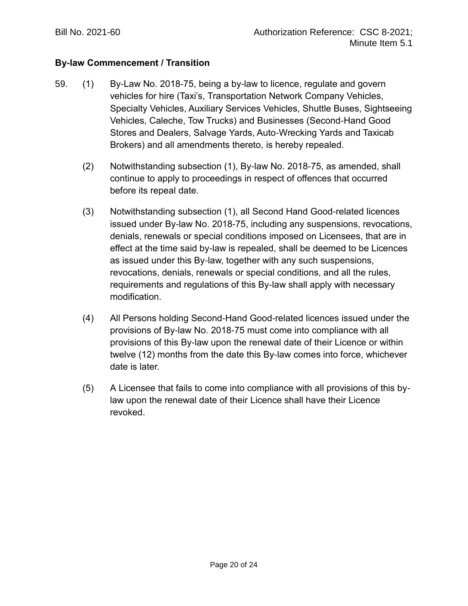## **By-law Commencement / Transition**

- 59. (1) By-Law No. 2018-75, being a by-law to licence, regulate and govern vehicles for hire (Taxi's, Transportation Network Company Vehicles, Specialty Vehicles, Auxiliary Services Vehicles, Shuttle Buses, Sightseeing Vehicles, Caleche, Tow Trucks) and Businesses (Second-Hand Good Stores and Dealers, Salvage Yards, Auto-Wrecking Yards and Taxicab Brokers) and all amendments thereto, is hereby repealed.
	- (2) Notwithstanding subsection (1), By-law No. 2018-75, as amended, shall continue to apply to proceedings in respect of offences that occurred before its repeal date.
	- (3) Notwithstanding subsection (1), all Second Hand Good-related licences issued under By-law No. 2018-75, including any suspensions, revocations, denials, renewals or special conditions imposed on Licensees, that are in effect at the time said by-law is repealed, shall be deemed to be Licences as issued under this By-law, together with any such suspensions, revocations, denials, renewals or special conditions, and all the rules, requirements and regulations of this By-law shall apply with necessary modification.
	- (4) All Persons holding Second-Hand Good-related licences issued under the provisions of By-law No. 2018-75 must come into compliance with all provisions of this By-law upon the renewal date of their Licence or within twelve (12) months from the date this By-law comes into force, whichever date is later.
	- (5) A Licensee that fails to come into compliance with all provisions of this bylaw upon the renewal date of their Licence shall have their Licence revoked.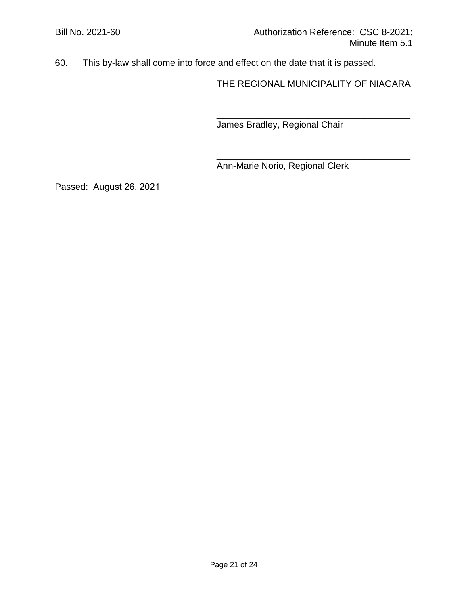60. This by-law shall come into force and effect on the date that it is passed.

THE REGIONAL MUNICIPALITY OF NIAGARA

\_\_\_\_\_\_\_\_\_\_\_\_\_\_\_\_\_\_\_\_\_\_\_\_\_\_\_\_\_\_\_\_\_\_\_\_\_\_

\_\_\_\_\_\_\_\_\_\_\_\_\_\_\_\_\_\_\_\_\_\_\_\_\_\_\_\_\_\_\_\_\_\_\_\_\_\_

James Bradley, Regional Chair

Ann-Marie Norio, Regional Clerk

Passed: August 26, 2021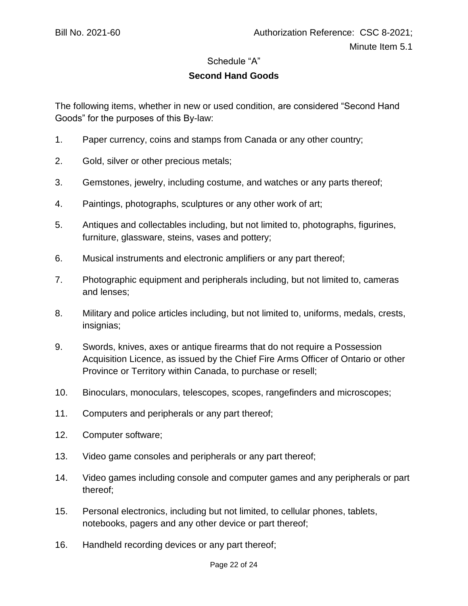#### Schedule "A"

## **Second Hand Goods**

The following items, whether in new or used condition, are considered "Second Hand Goods" for the purposes of this By-law:

- 1. Paper currency, coins and stamps from Canada or any other country;
- 2. Gold, silver or other precious metals;
- 3. Gemstones, jewelry, including costume, and watches or any parts thereof;
- 4. Paintings, photographs, sculptures or any other work of art;
- 5. Antiques and collectables including, but not limited to, photographs, figurines, furniture, glassware, steins, vases and pottery;
- 6. Musical instruments and electronic amplifiers or any part thereof;
- 7. Photographic equipment and peripherals including, but not limited to, cameras and lenses;
- 8. Military and police articles including, but not limited to, uniforms, medals, crests, insignias;
- 9. Swords, knives, axes or antique firearms that do not require a Possession Acquisition Licence, as issued by the Chief Fire Arms Officer of Ontario or other Province or Territory within Canada, to purchase or resell;
- 10. Binoculars, monoculars, telescopes, scopes, rangefinders and microscopes;
- 11. Computers and peripherals or any part thereof;
- 12. Computer software;
- 13. Video game consoles and peripherals or any part thereof;
- 14. Video games including console and computer games and any peripherals or part thereof;
- 15. Personal electronics, including but not limited, to cellular phones, tablets, notebooks, pagers and any other device or part thereof;
- 16. Handheld recording devices or any part thereof;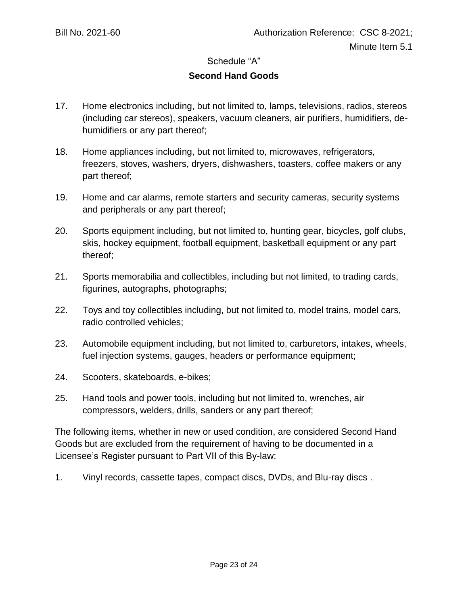#### Schedule "A"

## **Second Hand Goods**

- 17. Home electronics including, but not limited to, lamps, televisions, radios, stereos (including car stereos), speakers, vacuum cleaners, air purifiers, humidifiers, dehumidifiers or any part thereof;
- 18. Home appliances including, but not limited to, microwaves, refrigerators, freezers, stoves, washers, dryers, dishwashers, toasters, coffee makers or any part thereof;
- 19. Home and car alarms, remote starters and security cameras, security systems and peripherals or any part thereof;
- 20. Sports equipment including, but not limited to, hunting gear, bicycles, golf clubs, skis, hockey equipment, football equipment, basketball equipment or any part thereof;
- 21. Sports memorabilia and collectibles, including but not limited, to trading cards, figurines, autographs, photographs;
- 22. Toys and toy collectibles including, but not limited to, model trains, model cars, radio controlled vehicles;
- 23. Automobile equipment including, but not limited to, carburetors, intakes, wheels, fuel injection systems, gauges, headers or performance equipment;
- 24. Scooters, skateboards, e-bikes;
- 25. Hand tools and power tools, including but not limited to, wrenches, air compressors, welders, drills, sanders or any part thereof;

The following items, whether in new or used condition, are considered Second Hand Goods but are excluded from the requirement of having to be documented in a Licensee's Register pursuant to Part VII of this By-law:

1. Vinyl records, cassette tapes, compact discs, DVDs, and Blu-ray discs .